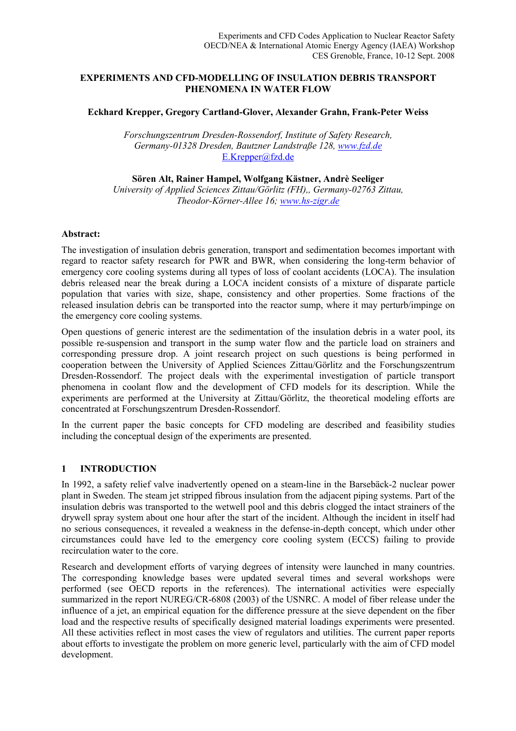## EXPERIMENTS AND CFD-MODELLING OF INSULATION DEBRIS TRANSPORT PHENOMENA IN WATER FLOW

### Eckhard Krepper, Gregory Cartland-Glover, Alexander Grahn, Frank-Peter Weiss

Forschungszentrum Dresden-Rossendorf, Institute of Safety Research, Germany-01328 Dresden, Bautzner Landstraße 128, www.fzd.de E.Krepper@fzd.de

Sören Alt, Rainer Hampel, Wolfgang Kästner, Andrè Seeliger University of Applied Sciences Zittau/Görlitz (FH), Germany-02763 Zittau, Theodor-Körner-Allee 16; www.hs-zigr.de

### Abstract:

The investigation of insulation debris generation, transport and sedimentation becomes important with regard to reactor safety research for PWR and BWR, when considering the long-term behavior of emergency core cooling systems during all types of loss of coolant accidents (LOCA). The insulation debris released near the break during a LOCA incident consists of a mixture of disparate particle population that varies with size, shape, consistency and other properties. Some fractions of the released insulation debris can be transported into the reactor sump, where it may perturb/impinge on the emergency core cooling systems.

Open questions of generic interest are the sedimentation of the insulation debris in a water pool, its possible re-suspension and transport in the sump water flow and the particle load on strainers and corresponding pressure drop. A joint research project on such questions is being performed in cooperation between the University of Applied Sciences Zittau/Görlitz and the Forschungszentrum Dresden-Rossendorf. The project deals with the experimental investigation of particle transport phenomena in coolant flow and the development of CFD models for its description. While the experiments are performed at the University at Zittau/Görlitz, the theoretical modeling efforts are concentrated at Forschungszentrum Dresden-Rossendorf.

In the current paper the basic concepts for CFD modeling are described and feasibility studies including the conceptual design of the experiments are presented.

# 1 INTRODUCTION

In 1992, a safety relief valve inadvertently opened on a steam-line in the Barsebäck-2 nuclear power plant in Sweden. The steam jet stripped fibrous insulation from the adjacent piping systems. Part of the insulation debris was transported to the wetwell pool and this debris clogged the intact strainers of the drywell spray system about one hour after the start of the incident. Although the incident in itself had no serious consequences, it revealed a weakness in the defense-in-depth concept, which under other circumstances could have led to the emergency core cooling system (ECCS) failing to provide recirculation water to the core.

Research and development efforts of varying degrees of intensity were launched in many countries. The corresponding knowledge bases were updated several times and several workshops were performed (see OECD reports in the references). The international activities were especially summarized in the report NUREG/CR-6808 (2003) of the USNRC. A model of fiber release under the influence of a jet, an empirical equation for the difference pressure at the sieve dependent on the fiber load and the respective results of specifically designed material loadings experiments were presented. All these activities reflect in most cases the view of regulators and utilities. The current paper reports about efforts to investigate the problem on more generic level, particularly with the aim of CFD model development.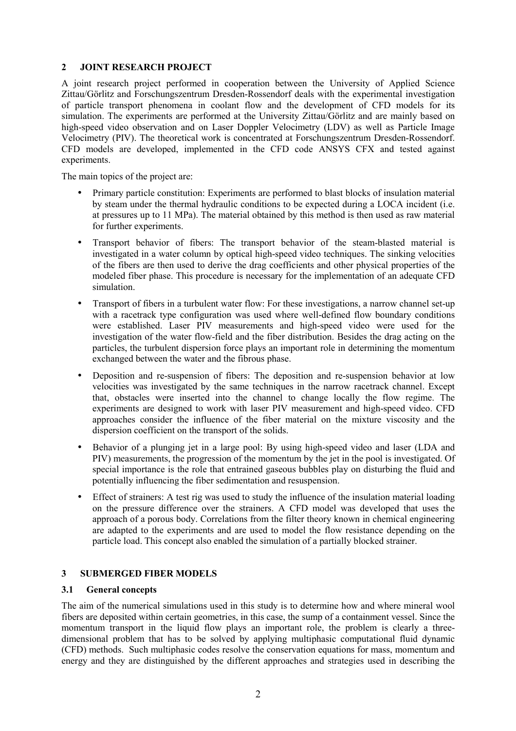# 2 JOINT RESEARCH PROJECT

A joint research project performed in cooperation between the University of Applied Science Zittau/Görlitz and Forschungszentrum Dresden-Rossendorf deals with the experimental investigation of particle transport phenomena in coolant flow and the development of CFD models for its simulation. The experiments are performed at the University Zittau/Görlitz and are mainly based on high-speed video observation and on Laser Doppler Velocimetry (LDV) as well as Particle Image Velocimetry (PIV). The theoretical work is concentrated at Forschungszentrum Dresden-Rossendorf. CFD models are developed, implemented in the CFD code ANSYS CFX and tested against experiments.

The main topics of the project are:

- Primary particle constitution: Experiments are performed to blast blocks of insulation material by steam under the thermal hydraulic conditions to be expected during a LOCA incident (i.e. at pressures up to 11 MPa). The material obtained by this method is then used as raw material for further experiments.
- Transport behavior of fibers: The transport behavior of the steam-blasted material is investigated in a water column by optical high-speed video techniques. The sinking velocities of the fibers are then used to derive the drag coefficients and other physical properties of the modeled fiber phase. This procedure is necessary for the implementation of an adequate CFD simulation.
- Transport of fibers in a turbulent water flow: For these investigations, a narrow channel set-up with a racetrack type configuration was used where well-defined flow boundary conditions were established. Laser PIV measurements and high-speed video were used for the investigation of the water flow-field and the fiber distribution. Besides the drag acting on the particles, the turbulent dispersion force plays an important role in determining the momentum exchanged between the water and the fibrous phase.
- Deposition and re-suspension of fibers: The deposition and re-suspension behavior at low velocities was investigated by the same techniques in the narrow racetrack channel. Except that, obstacles were inserted into the channel to change locally the flow regime. The experiments are designed to work with laser PIV measurement and high-speed video. CFD approaches consider the influence of the fiber material on the mixture viscosity and the dispersion coefficient on the transport of the solids.
- Behavior of a plunging jet in a large pool: By using high-speed video and laser (LDA and PIV) measurements, the progression of the momentum by the jet in the pool is investigated. Of special importance is the role that entrained gaseous bubbles play on disturbing the fluid and potentially influencing the fiber sedimentation and resuspension.
- Effect of strainers: A test rig was used to study the influence of the insulation material loading on the pressure difference over the strainers. A CFD model was developed that uses the approach of a porous body. Correlations from the filter theory known in chemical engineering are adapted to the experiments and are used to model the flow resistance depending on the particle load. This concept also enabled the simulation of a partially blocked strainer.

# 3 SUBMERGED FIBER MODELS

### 3.1 General concepts

The aim of the numerical simulations used in this study is to determine how and where mineral wool fibers are deposited within certain geometries, in this case, the sump of a containment vessel. Since the momentum transport in the liquid flow plays an important role, the problem is clearly a threedimensional problem that has to be solved by applying multiphasic computational fluid dynamic (CFD) methods. Such multiphasic codes resolve the conservation equations for mass, momentum and energy and they are distinguished by the different approaches and strategies used in describing the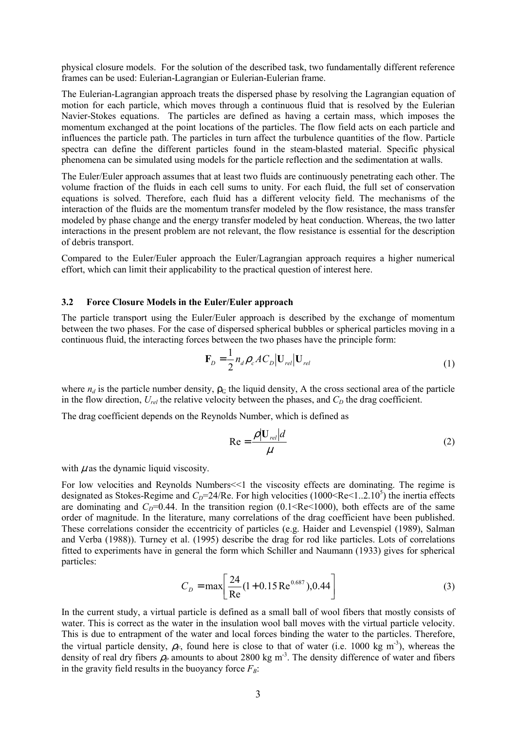physical closure models. For the solution of the described task, two fundamentally different reference frames can be used: Eulerian-Lagrangian or Eulerian-Eulerian frame.

The Eulerian-Lagrangian approach treats the dispersed phase by resolving the Lagrangian equation of motion for each particle, which moves through a continuous fluid that is resolved by the Eulerian Navier-Stokes equations. The particles are defined as having a certain mass, which imposes the momentum exchanged at the point locations of the particles. The flow field acts on each particle and influences the particle path. The particles in turn affect the turbulence quantities of the flow. Particle spectra can define the different particles found in the steam-blasted material. Specific physical phenomena can be simulated using models for the particle reflection and the sedimentation at walls.

The Euler/Euler approach assumes that at least two fluids are continuously penetrating each other. The volume fraction of the fluids in each cell sums to unity. For each fluid, the full set of conservation equations is solved. Therefore, each fluid has a different velocity field. The mechanisms of the interaction of the fluids are the momentum transfer modeled by the flow resistance, the mass transfer modeled by phase change and the energy transfer modeled by heat conduction. Whereas, the two latter interactions in the present problem are not relevant, the flow resistance is essential for the description of debris transport.

Compared to the Euler/Euler approach the Euler/Lagrangian approach requires a higher numerical effort, which can limit their applicability to the practical question of interest here.

### 3.2 Force Closure Models in the Euler/Euler approach

The particle transport using the Euler/Euler approach is described by the exchange of momentum between the two phases. For the case of dispersed spherical bubbles or spherical particles moving in a continuous fluid, the interacting forces between the two phases have the principle form:

$$
\mathbf{F}_D = \frac{1}{2} n_d \rho_c A C_D |\mathbf{U}_{rel}| \mathbf{U}_{rel}
$$
 (1)

where  $n_d$  is the particle number density,  $\rho_c$  the liquid density, A the cross sectional area of the particle in the flow direction,  $U_{rel}$  the relative velocity between the phases, and  $C_D$  the drag coefficient.

The drag coefficient depends on the Reynolds Number, which is defined as

$$
Re = \frac{\rho |U_{rel}|d}{\mu}
$$
 (2)

with  $\mu$  as the dynamic liquid viscosity.

For low velocities and Reynolds Numbers <<<<<<</>l the viscosity effects are dominating. The regime is designated as Stokes-Regime and  $C_D$ =24/Re. For high velocities (1000<Re<1..2.10<sup>5</sup>) the inertia effects are dominating and  $C<sub>D</sub>=0.44$ . In the transition region (0.1<Re $<1000$ ), both effects are of the same order of magnitude. In the literature, many correlations of the drag coefficient have been published. These correlations consider the eccentricity of particles (e.g. Haider and Levenspiel (1989), Salman and Verba (1988)). Turney et al. (1995) describe the drag for rod like particles. Lots of correlations fitted to experiments have in general the form which Schiller and Naumann (1933) gives for spherical particles:

$$
C_D = \max \left[ \frac{24}{\text{Re}} (1 + 0.15 \,\text{Re}^{0.687}), 0.44 \right]
$$
 (3)

In the current study, a virtual particle is defined as a small ball of wool fibers that mostly consists of water. This is correct as the water in the insulation wool ball moves with the virtual particle velocity. This is due to entrapment of the water and local forces binding the water to the particles. Therefore, the virtual particle density,  $\rho_F$ , found here is close to that of water (i.e. 1000 kg m<sup>-3</sup>), whereas the density of real dry fibers  $\rho_P$  amounts to about 2800 kg m<sup>-3</sup>. The density difference of water and fibers in the gravity field results in the buoyancy force  $F_B$ :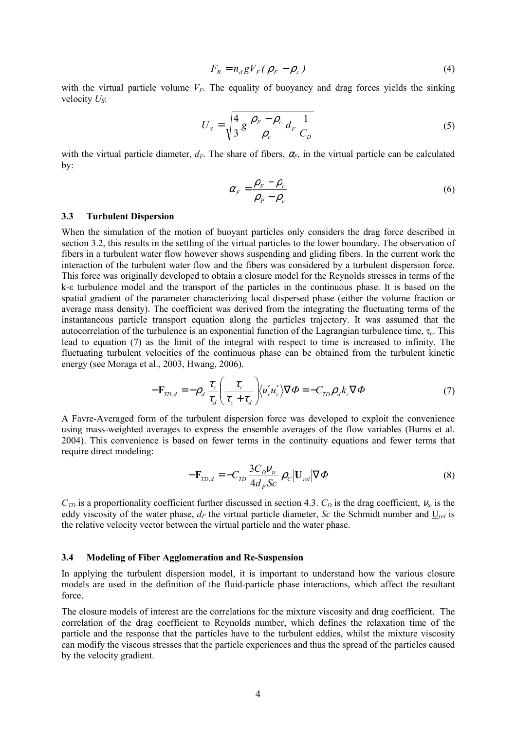$$
F_B = n_d g V_F (\rho_F - \rho_c) \tag{4}
$$

with the virtual particle volume  $V_F$ . The equality of buoyancy and drag forces yields the sinking velocity  $U_s$ :

$$
U_S = \sqrt{\frac{4}{3}g\frac{\rho_F - \rho_c}{\rho_c}d_F\frac{1}{C_D}}
$$
 (5)

with the virtual particle diameter,  $d_F$ . The share of fibers,  $\alpha_F$ , in the virtual particle can be calculated by:

$$
\alpha_F = \frac{\rho_F - \rho_c}{\rho_P - \rho_c} \tag{6}
$$

#### 3.3 Turbulent Dispersion

When the simulation of the motion of buoyant particles only considers the drag force described in section 3.2, this results in the settling of the virtual particles to the lower boundary. The observation of fibers in a turbulent water flow however shows suspending and gliding fibers. In the current work the interaction of the turbulent water flow and the fibers was considered by a turbulent dispersion force. This force was originally developed to obtain a closure model for the Reynolds stresses in terms of the k-ε turbulence model and the transport of the particles in the continuous phase. It is based on the spatial gradient of the parameter characterizing local dispersed phase (either the volume fraction or average mass density). The coefficient was derived from the integrating the fluctuating terms of the instantaneous particle transport equation along the particles trajectory. It was assumed that the autocorrelation of the turbulence is an exponential function of the Lagrangian turbulence time,  $\tau_c$ . This lead to equation (7) as the limit of the integral with respect to time is increased to infinity. The fluctuating turbulent velocities of the continuous phase can be obtained from the turbulent kinetic energy (see Moraga et al., 2003, Hwang, 2006).

$$
-\mathbf{F}_{T,D,d} = -\rho_d \frac{\tau_c}{\tau_d} \left( \frac{\tau_c}{\tau_c + \tau_d} \right) \langle u'_c u'_c \rangle \nabla \Phi = -C_{TD} \rho_d k_c \nabla \Phi \tag{7}
$$

A Favre-Averaged form of the turbulent dispersion force was developed to exploit the convenience using mass-weighted averages to express the ensemble averages of the flow variables (Burns et al. 2004). This convenience is based on fewer terms in the continuity equations and fewer terms that require direct modeling:

$$
-\mathbf{F}_{TD,d} = -C_{TD} \frac{3C_D \mathbf{V}_{tc}}{4d_F Sc} \rho_C |\mathbf{U}_{rel}| \nabla \Phi
$$
\n(8)

 $C_{ID}$  is a proportionality coefficient further discussed in section 4.3.  $C_D$  is the drag coefficient,  $v_{tc}$  is the eddy viscosity of the water phase,  $d_F$  the virtual particle diameter, Sc the Schmidt number and  $U_{rel}$  is the relative velocity vector between the virtual particle and the water phase.

#### 3.4 Modeling of Fiber Agglomeration and Re-Suspension

In applying the turbulent dispersion model, it is important to understand how the various closure models are used in the definition of the fluid-particle phase interactions, which affect the resultant force.

The closure models of interest are the correlations for the mixture viscosity and drag coefficient. The correlation of the drag coefficient to Reynolds number, which defines the relaxation time of the particle and the response that the particles have to the turbulent eddies, whilst the mixture viscosity can modify the viscous stresses that the particle experiences and thus the spread of the particles caused by the velocity gradient.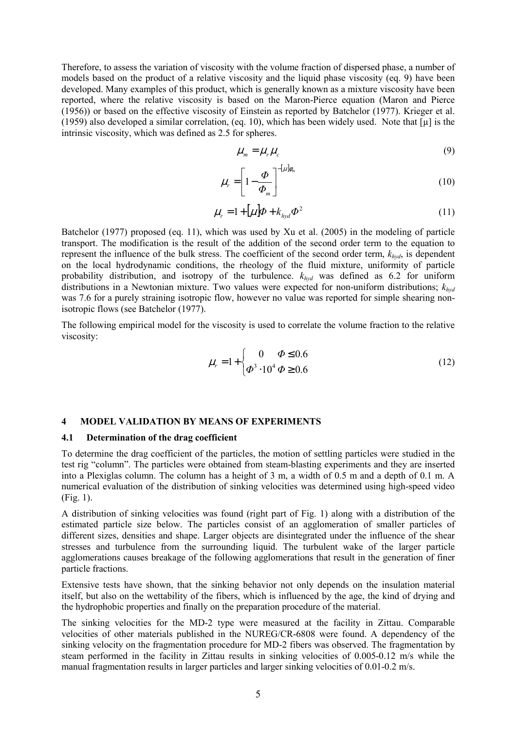Therefore, to assess the variation of viscosity with the volume fraction of dispersed phase, a number of models based on the product of a relative viscosity and the liquid phase viscosity (eq. 9) have been developed. Many examples of this product, which is generally known as a mixture viscosity have been reported, where the relative viscosity is based on the Maron-Pierce equation (Maron and Pierce (1956)) or based on the effective viscosity of Einstein as reported by Batchelor (1977). Krieger et al. (1959) also developed a similar correlation, (eq. 10), which has been widely used. Note that  $[\mu]$  is the intrinsic viscosity, which was defined as 2.5 for spheres.

$$
\mu_m = \mu_r \mu_c \tag{9}
$$

$$
\mu_r = \left[1 - \frac{\Phi}{\Phi_m}\right]^{-|\mu|\phi_m}
$$
\n(10)

$$
\mu_r = 1 + \left[ \mu \right] \Phi + k_{\text{hyd}} \Phi^2 \tag{11}
$$

Batchelor (1977) proposed (eq. 11), which was used by Xu et al. (2005) in the modeling of particle transport. The modification is the result of the addition of the second order term to the equation to represent the influence of the bulk stress. The coefficient of the second order term,  $k_{hvd}$ , is dependent on the local hydrodynamic conditions, the rheology of the fluid mixture, uniformity of particle probability distribution, and isotropy of the turbulence.  $k_{hvd}$  was defined as 6.2 for uniform distributions in a Newtonian mixture. Two values were expected for non-uniform distributions;  $k_{hvd}$ was 7.6 for a purely straining isotropic flow, however no value was reported for simple shearing nonisotropic flows (see Batchelor (1977).

The following empirical model for the viscosity is used to correlate the volume fraction to the relative viscosity:

$$
\mu_r = 1 + \begin{cases} 0 & \Phi \le 0.6 \\ \Phi^3 \cdot 10^4 & \Phi \ge 0.6 \end{cases}
$$
 (12)

### 4 MODEL VALIDATION BY MEANS OF EXPERIMENTS

### 4.1 Determination of the drag coefficient

To determine the drag coefficient of the particles, the motion of settling particles were studied in the test rig "column". The particles were obtained from steam-blasting experiments and they are inserted into a Plexiglas column. The column has a height of 3 m, a width of 0.5 m and a depth of 0.1 m. A numerical evaluation of the distribution of sinking velocities was determined using high-speed video (Fig. 1).

A distribution of sinking velocities was found (right part of Fig. 1) along with a distribution of the estimated particle size below. The particles consist of an agglomeration of smaller particles of different sizes, densities and shape. Larger objects are disintegrated under the influence of the shear stresses and turbulence from the surrounding liquid. The turbulent wake of the larger particle agglomerations causes breakage of the following agglomerations that result in the generation of finer particle fractions.

Extensive tests have shown, that the sinking behavior not only depends on the insulation material itself, but also on the wettability of the fibers, which is influenced by the age, the kind of drying and the hydrophobic properties and finally on the preparation procedure of the material.

The sinking velocities for the MD-2 type were measured at the facility in Zittau. Comparable velocities of other materials published in the NUREG/CR-6808 were found. A dependency of the sinking velocity on the fragmentation procedure for MD-2 fibers was observed. The fragmentation by steam performed in the facility in Zittau results in sinking velocities of 0.005-0.12 m/s while the manual fragmentation results in larger particles and larger sinking velocities of 0.01-0.2 m/s.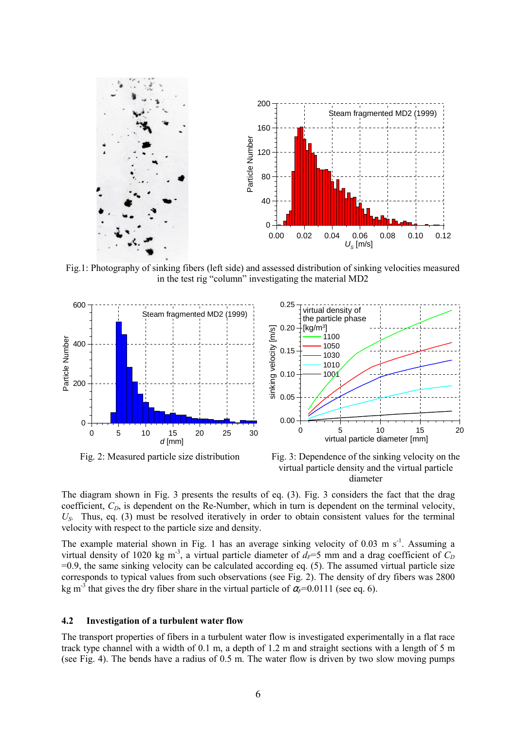

Fig.1: Photography of sinking fibers (left side) and assessed distribution of sinking velocities measured in the test rig "column" investigating the material MD2





The diagram shown in Fig. 3 presents the results of eq. (3). Fig. 3 considers the fact that the drag coefficient,  $C_D$ , is dependent on the Re-Number, which in turn is dependent on the terminal velocity,  $U<sub>S</sub>$ . Thus, eq. (3) must be resolved iteratively in order to obtain consistent values for the terminal velocity with respect to the particle size and density.

The example material shown in Fig. 1 has an average sinking velocity of 0.03 m  $s^{-1}$ . Assuming a virtual density of 1020 kg m<sup>-3</sup>, a virtual particle diameter of  $d_F$ =5 mm and a drag coefficient of  $C_D$  $=0.9$ , the same sinking velocity can be calculated according eq. (5). The assumed virtual particle size corresponds to typical values from such observations (see Fig. 2). The density of dry fibers was 2800 kg m<sup>-3</sup> that gives the dry fiber share in the virtual particle of  $\alpha_F$ =0.0111 (see eq. 6).

### 4.2 Investigation of a turbulent water flow

The transport properties of fibers in a turbulent water flow is investigated experimentally in a flat race track type channel with a width of 0.1 m, a depth of 1.2 m and straight sections with a length of 5 m (see Fig. 4). The bends have a radius of 0.5 m. The water flow is driven by two slow moving pumps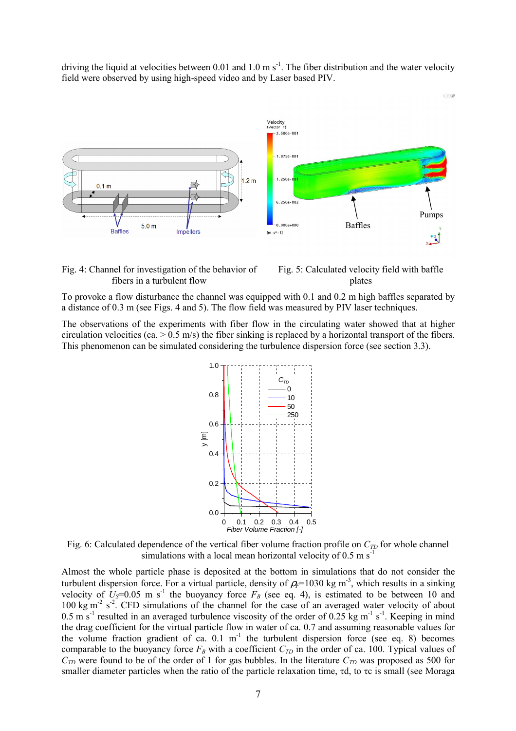driving the liquid at velocities between 0.01 and 1.0 m  $s^{-1}$ . The fiber distribution and the water velocity field were observed by using high-speed video and by Laser based PIV.



### Fig. 4: Channel for investigation of the behavior of fibers in a turbulent flow



CEXA

To provoke a flow disturbance the channel was equipped with 0.1 and 0.2 m high baffles separated by a distance of 0.3 m (see Figs. 4 and 5). The flow field was measured by PIV laser techniques.

The observations of the experiments with fiber flow in the circulating water showed that at higher circulation velocities (ca.  $> 0.5$  m/s) the fiber sinking is replaced by a horizontal transport of the fibers. This phenomenon can be simulated considering the turbulence dispersion force (see section 3.3).



Fig. 6: Calculated dependence of the vertical fiber volume fraction profile on  $C_{TD}$  for whole channel simulations with a local mean horizontal velocity of  $0.5 \text{ m s}^{-1}$ 

Almost the whole particle phase is deposited at the bottom in simulations that do not consider the turbulent dispersion force. For a virtual particle, density of  $\rho_F$ =1030 kg m<sup>-3</sup>, which results in a sinking velocity of  $U_s=0.05$  m s<sup>-1</sup> the buoyancy force  $F_B$  (see eq. 4), is estimated to be between 10 and  $100 \text{ kg m}^2 \text{ s}^2$ . CFD simulations of the channel for the case of an averaged water velocity of about  $0.5$  m s<sup>-1</sup> resulted in an averaged turbulence viscosity of the order of 0.25 kg m<sup>-1</sup> s<sup>-1</sup>. Keeping in mind the drag coefficient for the virtual particle flow in water of ca. 0.7 and assuming reasonable values for the volume fraction gradient of ca.  $0.1 \text{ m}^{-1}$  the turbulent dispersion force (see eq. 8) becomes comparable to the buoyancy force  $F_B$  with a coefficient  $C_{TD}$  in the order of ca. 100. Typical values of  $C_{T_D}$  were found to be of the order of 1 for gas bubbles. In the literature  $C_{T_D}$  was proposed as 500 for smaller diameter particles when the ratio of the particle relaxation time, τd, to τc is small (see Moraga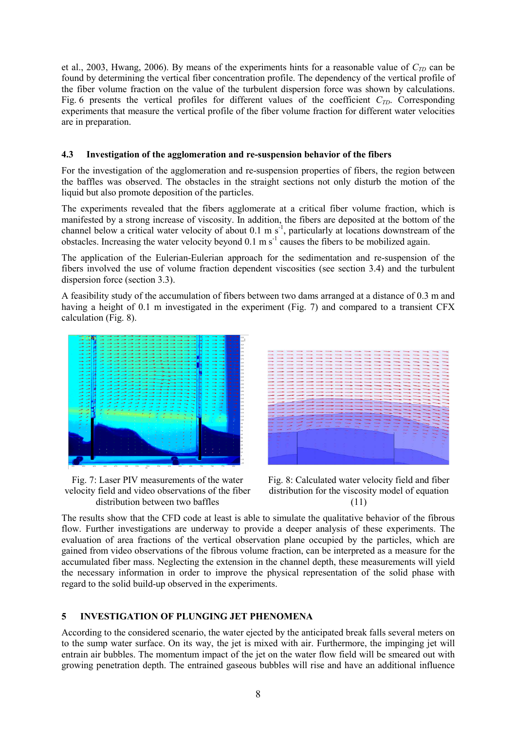et al., 2003, Hwang, 2006). By means of the experiments hints for a reasonable value of  $C_{ID}$  can be found by determining the vertical fiber concentration profile. The dependency of the vertical profile of the fiber volume fraction on the value of the turbulent dispersion force was shown by calculations. Fig. 6 presents the vertical profiles for different values of the coefficient  $C_{TD}$ . Corresponding experiments that measure the vertical profile of the fiber volume fraction for different water velocities are in preparation.

## 4.3 Investigation of the agglomeration and re-suspension behavior of the fibers

For the investigation of the agglomeration and re-suspension properties of fibers, the region between the baffles was observed. The obstacles in the straight sections not only disturb the motion of the liquid but also promote deposition of the particles.

The experiments revealed that the fibers agglomerate at a critical fiber volume fraction, which is manifested by a strong increase of viscosity. In addition, the fibers are deposited at the bottom of the channel below a critical water velocity of about  $0.1 \text{ m s}^{-1}$ , particularly at locations downstream of the obstacles. Increasing the water velocity beyond  $0.1 \text{ m s}^{-1}$  causes the fibers to be mobilized again.

The application of the Eulerian-Eulerian approach for the sedimentation and re-suspension of the fibers involved the use of volume fraction dependent viscosities (see section 3.4) and the turbulent dispersion force (section 3.3).

A feasibility study of the accumulation of fibers between two dams arranged at a distance of 0.3 m and having a height of 0.1 m investigated in the experiment (Fig. 7) and compared to a transient CFX calculation (Fig. 8).







Fig. 8: Calculated water velocity field and fiber distribution for the viscosity model of equation (11)

The results show that the CFD code at least is able to simulate the qualitative behavior of the fibrous flow. Further investigations are underway to provide a deeper analysis of these experiments. The evaluation of area fractions of the vertical observation plane occupied by the particles, which are gained from video observations of the fibrous volume fraction, can be interpreted as a measure for the accumulated fiber mass. Neglecting the extension in the channel depth, these measurements will yield the necessary information in order to improve the physical representation of the solid phase with regard to the solid build-up observed in the experiments.

# 5 INVESTIGATION OF PLUNGING JET PHENOMENA

According to the considered scenario, the water ejected by the anticipated break falls several meters on to the sump water surface. On its way, the jet is mixed with air. Furthermore, the impinging jet will entrain air bubbles. The momentum impact of the jet on the water flow field will be smeared out with growing penetration depth. The entrained gaseous bubbles will rise and have an additional influence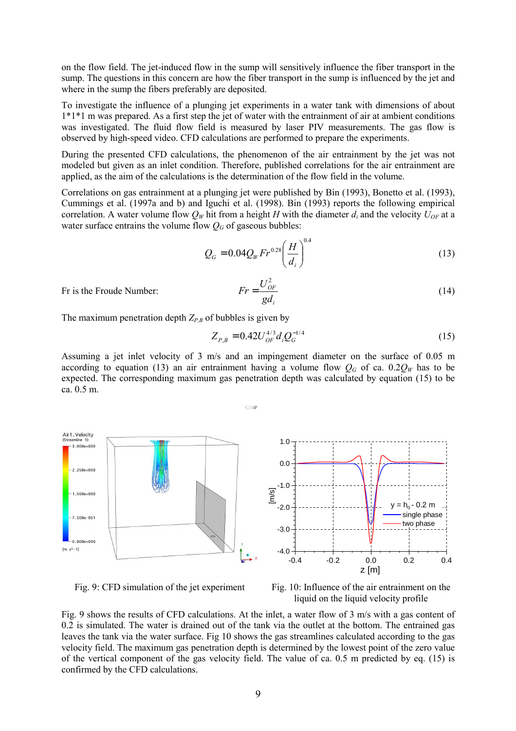on the flow field. The jet-induced flow in the sump will sensitively influence the fiber transport in the sump. The questions in this concern are how the fiber transport in the sump is influenced by the jet and where in the sump the fibers preferably are deposited.

To investigate the influence of a plunging jet experiments in a water tank with dimensions of about 1\*1\*1 m was prepared. As a first step the jet of water with the entrainment of air at ambient conditions was investigated. The fluid flow field is measured by laser PIV measurements. The gas flow is observed by high-speed video. CFD calculations are performed to prepare the experiments.

During the presented CFD calculations, the phenomenon of the air entrainment by the jet was not modeled but given as an inlet condition. Therefore, published correlations for the air entrainment are applied, as the aim of the calculations is the determination of the flow field in the volume.

Correlations on gas entrainment at a plunging jet were published by Bin (1993), Bonetto et al. (1993), Cummings et al. (1997a and b) and Iguchi et al. (1998). Bin (1993) reports the following empirical correlation. A water volume flow  $Q_W$  hit from a height H with the diameter  $d_i$  and the velocity  $U_{OF}$  at a water surface entrains the volume flow  $Q_G$  of gaseous bubbles:

$$
Q_G = 0.04 Q_W Fr^{0.28} \left(\frac{H}{d_i}\right)^{0.4}
$$
 (13)

Fr is the Froude Number:

$$
Fr = \frac{U_{OF}^2}{gd_i} \tag{14}
$$

The maximum penetration depth  $Z_{P,B}$  of bubbles is given by

$$
Z_{P,B} = 0.42U_{OF}^{4/3}d_iQ_G^{-1/4}
$$
\n(15)

Assuming a jet inlet velocity of 3 m/s and an impingement diameter on the surface of 0.05 m according to equation (13) an air entrainment having a volume flow  $Q_G$  of ca. 0.2 $Q_W$  has to be expected. The corresponding maximum gas penetration depth was calculated by equation (15) to be ca. 0.5 m.

CFX#





Fig. 9 shows the results of CFD calculations. At the inlet, a water flow of 3 m/s with a gas content of 0.2 is simulated. The water is drained out of the tank via the outlet at the bottom. The entrained gas leaves the tank via the water surface. Fig 10 shows the gas streamlines calculated according to the gas velocity field. The maximum gas penetration depth is determined by the lowest point of the zero value of the vertical component of the gas velocity field. The value of ca. 0.5 m predicted by eq. (15) is confirmed by the CFD calculations.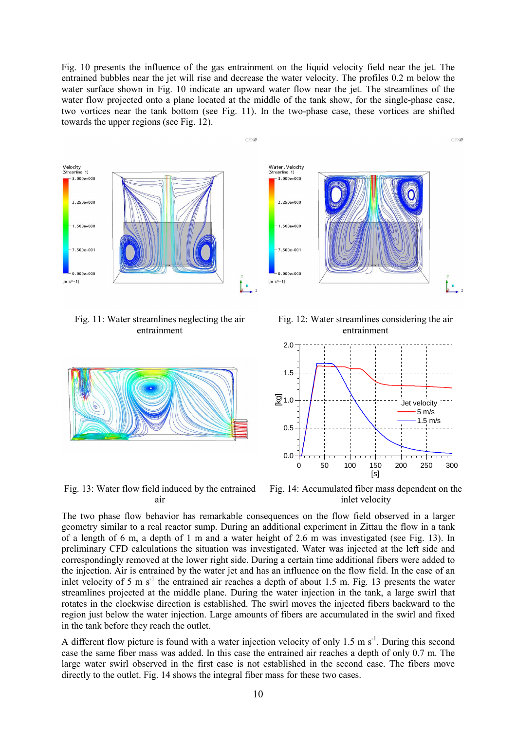Fig. 10 presents the influence of the gas entrainment on the liquid velocity field near the jet. The entrained bubbles near the jet will rise and decrease the water velocity. The profiles 0.2 m below the water surface shown in Fig. 10 indicate an upward water flow near the jet. The streamlines of the water flow projected onto a plane located at the middle of the tank show, for the single-phase case, two vortices near the tank bottom (see Fig. 11). In the two-phase case, these vortices are shifted towards the upper regions (see Fig. 12).



Fig. 11: Water streamlines neglecting the air entrainment



Fig. 13: Water flow field induced by the entrained air

Fig. 12: Water streamlines considering the air entrainment



Fig. 14: Accumulated fiber mass dependent on the inlet velocity

The two phase flow behavior has remarkable consequences on the flow field observed in a larger geometry similar to a real reactor sump. During an additional experiment in Zittau the flow in a tank of a length of 6 m, a depth of 1 m and a water height of 2.6 m was investigated (see Fig. 13). In preliminary CFD calculations the situation was investigated. Water was injected at the left side and correspondingly removed at the lower right side. During a certain time additional fibers were added to the injection. Air is entrained by the water jet and has an influence on the flow field. In the case of an inlet velocity of 5 m  $s^{-1}$  the entrained air reaches a depth of about 1.5 m. Fig. 13 presents the water streamlines projected at the middle plane. During the water injection in the tank, a large swirl that rotates in the clockwise direction is established. The swirl moves the injected fibers backward to the region just below the water injection. Large amounts of fibers are accumulated in the swirl and fixed in the tank before they reach the outlet.

A different flow picture is found with a water injection velocity of only 1.5 m  $s^{-1}$ . During this second case the same fiber mass was added. In this case the entrained air reaches a depth of only 0.7 m. The large water swirl observed in the first case is not established in the second case. The fibers move directly to the outlet. Fig. 14 shows the integral fiber mass for these two cases.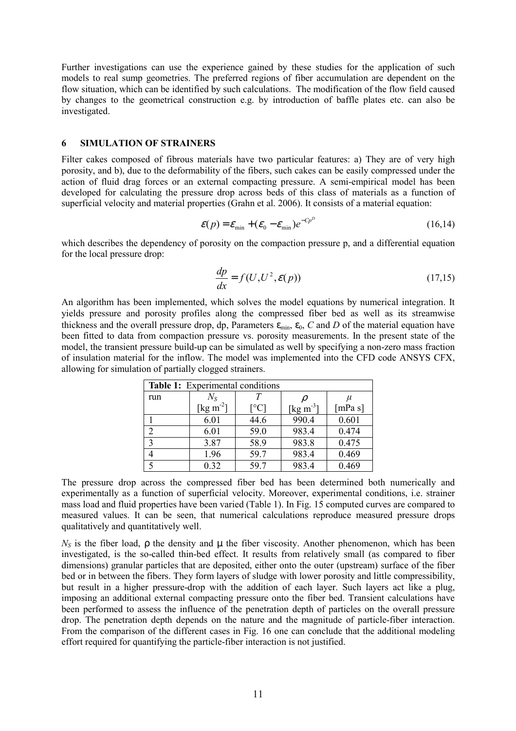Further investigations can use the experience gained by these studies for the application of such models to real sump geometries. The preferred regions of fiber accumulation are dependent on the flow situation, which can be identified by such calculations. The modification of the flow field caused by changes to the geometrical construction e.g. by introduction of baffle plates etc. can also be investigated.

### 6 SIMULATION OF STRAINERS

Filter cakes composed of fibrous materials have two particular features: a) They are of very high porosity, and b), due to the deformability of the fibers, such cakes can be easily compressed under the action of fluid drag forces or an external compacting pressure. A semi-empirical model has been developed for calculating the pressure drop across beds of this class of materials as a function of superficial velocity and material properties (Grahn et al. 2006). It consists of a material equation:

$$
\mathcal{E}(p) = \mathcal{E}_{\min} + (\mathcal{E}_0 - \mathcal{E}_{\min})e^{-Cp^D}
$$
 (16.14)

which describes the dependency of porosity on the compaction pressure p, and a differential equation for the local pressure drop:

$$
\frac{dp}{dx} = f(U, U^2, \varepsilon(p))\tag{17.15}
$$

An algorithm has been implemented, which solves the model equations by numerical integration. It yields pressure and porosity profiles along the compressed fiber bed as well as its streamwise thickness and the overall pressure drop, dp, Parameters  $\varepsilon_{\text{min}}$ ,  $\varepsilon_0$ , C and D of the material equation have been fitted to data from compaction pressure vs. porosity measurements. In the present state of the model, the transient pressure build-up can be simulated as well by specifying a non-zero mass fraction of insulation material for the inflow. The model was implemented into the CFD code ANSYS CFX, allowing for simulation of partially clogged strainers.

| <b>Table 1:</b> Experimental conditions |                       |      |                        |             |  |
|-----------------------------------------|-----------------------|------|------------------------|-------------|--|
| run                                     | $N_{S}$               |      |                        | $\mu$       |  |
|                                         | [kg m <sup>-2</sup> ] | [°C] | [ $\text{kg m}^{-3}$ ] | [ $mPa s$ ] |  |
|                                         | 6.01                  | 44.6 | 990.4                  | 0.601       |  |
|                                         | 6.01                  | 59.0 | 983.4                  | 0.474       |  |
| 3                                       | 3.87                  | 58.9 | 983.8                  | 0.475       |  |
|                                         | 1.96                  | 59.7 | 983.4                  | 0.469       |  |
|                                         | 0.32                  | 59.7 | 983.4                  | 0.469       |  |

The pressure drop across the compressed fiber bed has been determined both numerically and experimentally as a function of superficial velocity. Moreover, experimental conditions, i.e. strainer mass load and fluid properties have been varied (Table 1). In Fig. 15 computed curves are compared to measured values. It can be seen, that numerical calculations reproduce measured pressure drops qualitatively and quantitatively well.

 $N<sub>S</sub>$  is the fiber load,  $\rho$  the density and  $\mu$  the fiber viscosity. Another phenomenon, which has been investigated, is the so-called thin-bed effect. It results from relatively small (as compared to fiber dimensions) granular particles that are deposited, either onto the outer (upstream) surface of the fiber bed or in between the fibers. They form layers of sludge with lower porosity and little compressibility, but result in a higher pressure-drop with the addition of each layer. Such layers act like a plug, imposing an additional external compacting pressure onto the fiber bed. Transient calculations have been performed to assess the influence of the penetration depth of particles on the overall pressure drop. The penetration depth depends on the nature and the magnitude of particle-fiber interaction. From the comparison of the different cases in Fig. 16 one can conclude that the additional modeling effort required for quantifying the particle-fiber interaction is not justified.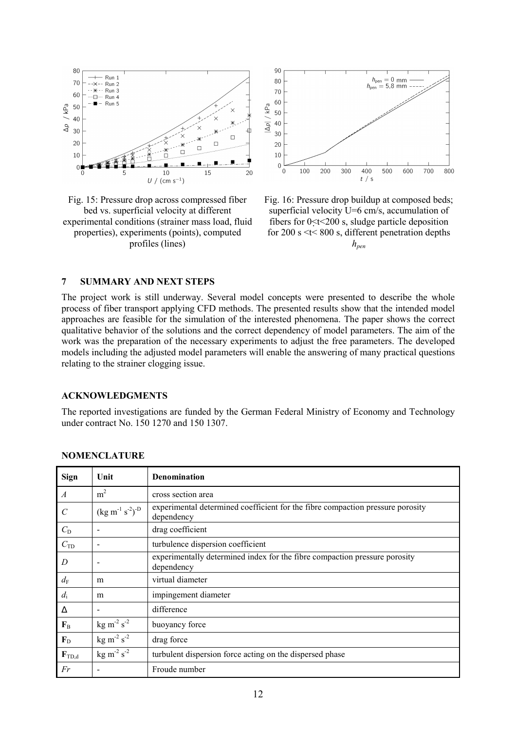

Fig. 15: Pressure drop across compressed fiber bed vs. superficial velocity at different experimental conditions (strainer mass load, fluid properties), experiments (points), computed profiles (lines)



Fig. 16: Pressure drop buildup at composed beds; superficial velocity U=6 cm/s, accumulation of fibers for  $0 \le t \le 200$  s, sludge particle deposition for 200 s  $\leq t \leq 800$  s, different penetration depths  $h_{pen}$ 

## 7 SUMMARY AND NEXT STEPS

The project work is still underway. Several model concepts were presented to describe the whole process of fiber transport applying CFD methods. The presented results show that the intended model approaches are feasible for the simulation of the interested phenomena. The paper shows the correct qualitative behavior of the solutions and the correct dependency of model parameters. The aim of the work was the preparation of the necessary experiments to adjust the free parameters. The developed models including the adjusted model parameters will enable the answering of many practical questions relating to the strainer clogging issue.

#### ACKNOWLEDGMENTS

The reported investigations are funded by the German Federal Ministry of Economy and Technology under contract No. 150 1270 and 150 1307.

| Sign                       | Unit                                     | Denomination                                                                                 |  |
|----------------------------|------------------------------------------|----------------------------------------------------------------------------------------------|--|
| $\overline{A}$             | m <sup>2</sup>                           | cross section area                                                                           |  |
| $\mathcal{C}_{0}$          | $(\text{kg m}^{-1} \text{ s}^{-2})^{-D}$ | experimental determined coefficient for the fibre compaction pressure porosity<br>dependency |  |
| $C_{\rm D}$                |                                          | drag coefficient                                                                             |  |
| $C_{\text{TD}}$            | $\overline{\phantom{a}}$                 | turbulence dispersion coefficient                                                            |  |
| D                          |                                          | experimentally determined index for the fibre compaction pressure porosity<br>dependency     |  |
| $d_{\rm F}$                | m                                        | virtual diameter                                                                             |  |
| $d_i$                      | m                                        | impingement diameter                                                                         |  |
| Δ                          |                                          | difference                                                                                   |  |
| $F_B$                      | $\text{kg m}^{-2} \text{ s}^{-2}$        | buoyancy force                                                                               |  |
| $F_D$                      | $kg \, \text{m}^{-2} \, \text{s}^{-2}$   | drag force                                                                                   |  |
| $\mathbf{F}_{\text{TD,d}}$ | $kg \, \text{m}^{-2} \, \text{s}^{-2}$   | turbulent dispersion force acting on the dispersed phase                                     |  |
| Fr                         |                                          | Froude number                                                                                |  |

### NOMENCLATURE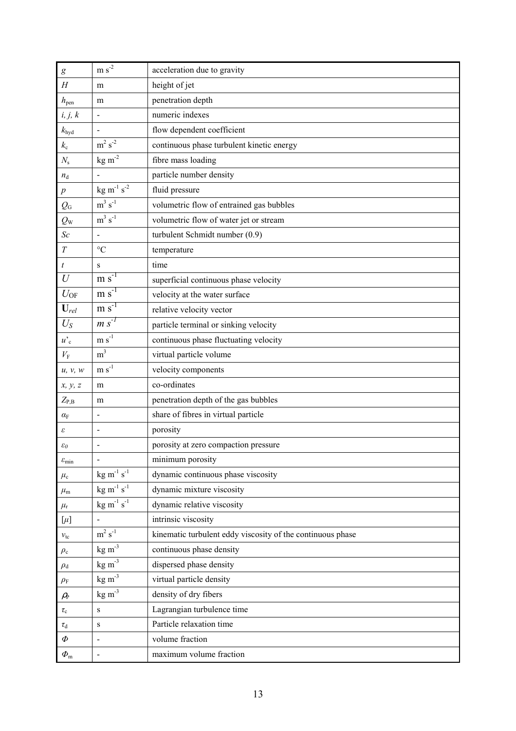| g                                     | $m s-2$                                         | acceleration due to gravity                                |  |  |
|---------------------------------------|-------------------------------------------------|------------------------------------------------------------|--|--|
| H                                     | m                                               | height of jet                                              |  |  |
| $h_{\text{pen}}$                      | m                                               | penetration depth                                          |  |  |
| i, j, k                               | $\sim$                                          | numeric indexes                                            |  |  |
| $k_{\rm hyd}$                         |                                                 | flow dependent coefficient                                 |  |  |
| $k_{\rm c}$                           | $m^2$ s <sup>-2</sup>                           | continuous phase turbulent kinetic energy                  |  |  |
| $N_{\rm s}$                           | $\text{kg m}^{\text{-2}}$                       | fibre mass loading                                         |  |  |
| $n_{\rm d}$                           |                                                 | particle number density                                    |  |  |
| $\boldsymbol{p}$                      | $\text{kg m}^{\text{-1}} \text{ s}^{\text{-2}}$ | fluid pressure                                             |  |  |
| $Q_{\rm G}$                           | $m^3$ s <sup>-1</sup>                           | volumetric flow of entrained gas bubbles                   |  |  |
| $Q_{\rm W}$                           | $m^3$ s <sup>-1</sup>                           | volumetric flow of water jet or stream                     |  |  |
| Sc                                    | $\overline{\phantom{a}}$                        | turbulent Schmidt number (0.9)                             |  |  |
| $\boldsymbol{T}$                      | $\rm ^{\circ}C$                                 | temperature                                                |  |  |
| t                                     | $\, {\bf S}$                                    | time                                                       |  |  |
| $\mathcal U$                          | $m s-1$                                         | superficial continuous phase velocity                      |  |  |
| $U_{\rm OF}$                          | $m s-1$                                         | velocity at the water surface                              |  |  |
| $U_{rel}$                             | $\mathrm{m}\mathrm{s}^{-1}$                     | relative velocity vector                                   |  |  |
| $U_{S}$                               | $m s-7$                                         | particle terminal or sinking velocity                      |  |  |
| $u_{c}$                               | $m s^{-1}$                                      | continuous phase fluctuating velocity                      |  |  |
| $V_{\rm F}$                           | m <sup>3</sup>                                  | virtual particle volume                                    |  |  |
| u, v, w                               | ${\rm m~s}^{\text{-}1}$                         | velocity components                                        |  |  |
| x, y, z                               | m                                               | co-ordinates                                               |  |  |
| $Z_{\rm P,B}$                         | m                                               | penetration depth of the gas bubbles                       |  |  |
| $\alpha_{\rm F}$                      | $\blacksquare$                                  | share of fibres in virtual particle                        |  |  |
| ε                                     | $\blacksquare$                                  | porosity                                                   |  |  |
| $\varepsilon_0$                       | $\overline{a}$                                  | porosity at zero compaction pressure                       |  |  |
| $\varepsilon_{\rm min}$               |                                                 | minimum porosity                                           |  |  |
| $\mu_{\rm c}$                         | $\text{kg m}^{\text{-1}}\text{ s}^{\text{-1}}$  | dynamic continuous phase viscosity                         |  |  |
| $\mu_{\rm m}$                         | $kg \ m^{-1} s^{-1}$                            | dynamic mixture viscosity                                  |  |  |
| $\mu_\mathrm{r}$                      | $\rm kg~m^{\text{-}1}~s^{\text{-}1}$            | dynamic relative viscosity                                 |  |  |
| $[\mu]$                               |                                                 | intrinsic viscosity                                        |  |  |
| $\mathcal{V}_{\text{tc}}$             | $m^2$ s <sup>-1</sup>                           | kinematic turbulent eddy viscosity of the continuous phase |  |  |
| $\rho_{\rm c}$                        | $kg \, \text{m}^{-3}$                           | continuous phase density                                   |  |  |
| $\rho_{\rm d}$                        | $kg \, \text{m}^{-3}$                           | dispersed phase density                                    |  |  |
| $\rho_{\rm F}$                        | $\text{kg m}^{\text{-3}}$                       | virtual particle density                                   |  |  |
| $\rho_{\text{\tiny{P}}}$              | $kg \, \text{m}^{-3}$                           | density of dry fibers                                      |  |  |
| $\tau_{\rm c}$                        | ${\bf S}$                                       | Lagrangian turbulence time                                 |  |  |
| $\tau_{\rm d}$                        | $\, {\bf S}$                                    | Particle relaxation time                                   |  |  |
| $\varPhi$                             |                                                 | volume fraction                                            |  |  |
| $\boldsymbol{\varPhi}_{\mathfrak{m}}$ | $\overline{a}$                                  | maximum volume fraction                                    |  |  |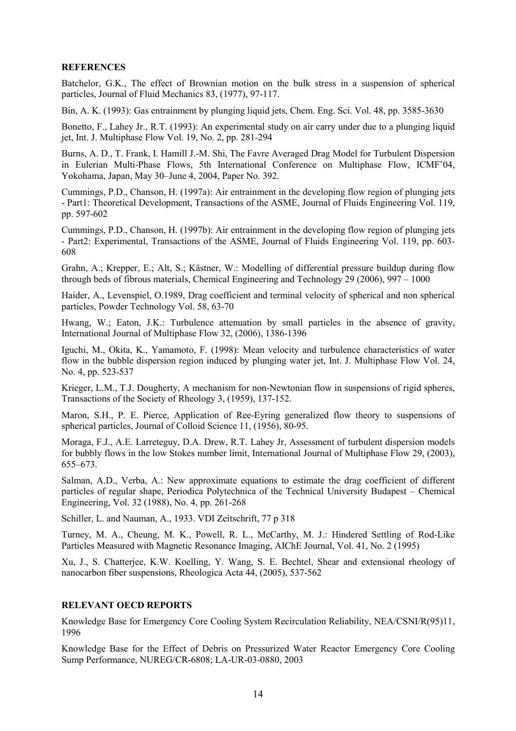## **REFERENCES**

Batchelor, G.K., The effect of Brownian motion on the bulk stress in a suspension of spherical particles, Journal of Fluid Mechanics 83, (1977), 97-117.

Bin, A. K. (1993): Gas entrainment by plunging liquid jets, Chem. Eng. Sci. Vol. 48, pp. 3585-3630

Bonetto, F., Lahey Jr., R.T. (1993): An experimental study on air carry under due to a plunging liquid jet, Int. J. Multiphase Flow Vol. 19, No. 2, pp. 281-294

Burns, A. D., T. Frank, I. Hamill J.-M. Shi, The Favre Averaged Drag Model for Turbulent Dispersion in Eulerian Multi-Phase Flows, 5th International Conference on Multiphase Flow, ICMF'04, Yokohama, Japan, May 30–June 4, 2004, Paper No. 392.

Cummings, P.D., Chanson, H. (1997a): Air entrainment in the developing flow region of plunging jets - Part1: Theoretical Development, Transactions of the ASME, Journal of Fluids Engineering Vol. 119, pp. 597-602

Cummings, P.D., Chanson, H. (1997b): Air entrainment in the developing flow region of plunging jets - Part2: Experimental, Transactions of the ASME, Journal of Fluids Engineering Vol. 119, pp. 603- 608

Grahn, A.; Krepper, E.; Alt, S.; Kästner, W.: Modelling of differential pressure buildup during flow through beds of fibrous materials, Chemical Engineering and Technology 29 (2006), 997 – 1000

Haider, A., Levenspiel, O.1989, Drag coefficient and terminal velocity of spherical and non spherical particles, Powder Technology Vol. 58, 63-70

Hwang, W.; Eaton, J.K.: Turbulence attenuation by small particles in the absence of gravity, International Journal of Multiphase Flow 32, (2006), 1386-1396

Iguchi, M., Okita, K., Yamamoto, F. (1998): Mean velocity and turbulence characteristics of water flow in the bubble dispersion region induced by plunging water jet, Int. J. Multiphase Flow Vol. 24, No. 4, pp. 523-537

Krieger, L.M., T.J. Dougherty, A mechanism for non-Newtonian flow in suspensions of rigid spheres, Transactions of the Society of Rheology 3, (1959), 137-152.

Maron, S.H., P. E. Pierce, Application of Ree-Eyring generalized flow theory to suspensions of spherical particles, Journal of Colloid Science 11, (1956), 80-95.

Moraga, F.J., A.E. Larreteguy, D.A. Drew, R.T. Lahey Jr, Assessment of turbulent dispersion models for bubbly flows in the low Stokes number limit, International Journal of Multiphase Flow 29, (2003), 655–673.

Salman, A.D., Verba, A.: New approximate equations to estimate the drag coefficient of different particles of regular shape, Periodica Polytechnica of the Technical University Budapest – Chemical Engineering, Vol. 32 (1988), No. 4, pp. 261-268

Schiller, L. and Nauman, A., 1933. VDI Zeitschrift, 77 p 318

Turney, M. A., Cheung, M. K., Powell, R. L., McCarthy, M. J.: Hindered Settling of Rod-Like Particles Measured with Magnetic Resonance Imaging, AIChE Journal, Vol. 41, No. 2 (1995)

Xu, J., S. Chatterjee, K.W. Koelling, Y. Wang, S. E. Bechtel, Shear and extensional rheology of nanocarbon fiber suspensions, Rheologica Acta 44, (2005), 537-562

### RELEVANT OECD REPORTS

Knowledge Base for Emergency Core Cooling System Recirculation Reliability, NEA/CSNI/R(95)11, 1996

Knowledge Base for the Effect of Debris on Pressurized Water Reactor Emergency Core Cooling Sump Performance, NUREG/CR-6808; LA-UR-03-0880, 2003